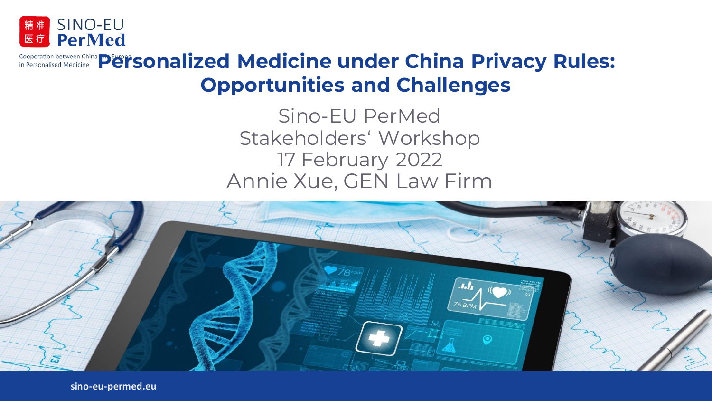

## Cooperation between China **Piersonalised Medicine** under China Privacy Rules: **Opportunities and Challenges**

Sino-EU PerMed Stakeholders' Workshop 17 February 2022 Annie Xue, GEN Law Firm



**sino-eu-permed.eu**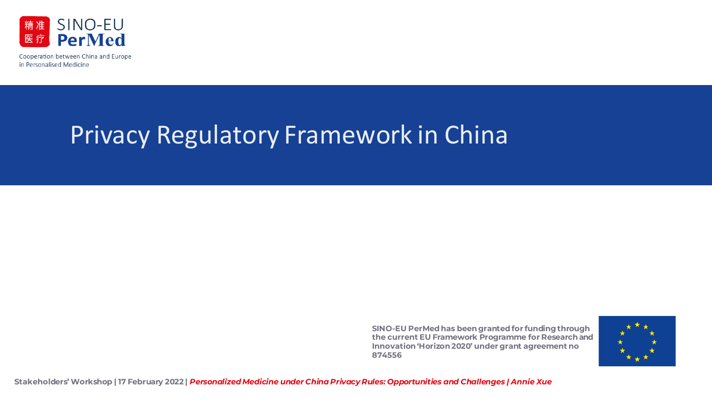

# Privacy Regulatory Framework in China

**SINO-EU PerMed has been grantedfor funding through the current EU Framework Programme for Research and Innovation 'Horizon 2020' under grant agreement no 874556**

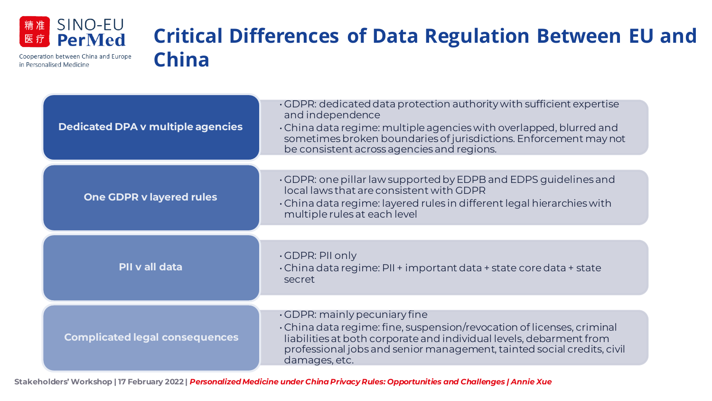

Cooperation between China and Europe

in Personalised Medicine

### **Critical Differences of Data Regulation Between EU and China**

| <b>Dedicated DPA v multiple agencies</b> | . GDPR: dedicated data protection authority with sufficient expertise<br>and independence<br>. China data regime: multiple agencies with overlapped, blurred and<br>sometimes broken boundaries of jurisdictions. Enforcement may not<br>be consistent across agencies and regions. |
|------------------------------------------|-------------------------------------------------------------------------------------------------------------------------------------------------------------------------------------------------------------------------------------------------------------------------------------|
| <b>One GDPR v layered rules</b>          | . GDPR: one pillar law supported by EDPB and EDPS guidelines and<br>local laws that are consistent with GDPR<br>China data regime: layered rules in different legal hierarchies with<br>multiple rules at each level                                                                |
| PII v all data                           | $\cdot$ GDPR: PII only<br>China data regime: PII + important data + state core data + state<br>secret                                                                                                                                                                               |
| <b>Complicated legal consequences</b>    | $\cdot$ GDPR: mainly pecuniary fine<br>• China data regime: fine, suspension/revocation of licenses, criminal<br>liabilities at both corporate and individual levels, debarment from<br>professional jobs and senior management, tainted social credits, civil<br>damages, etc.     |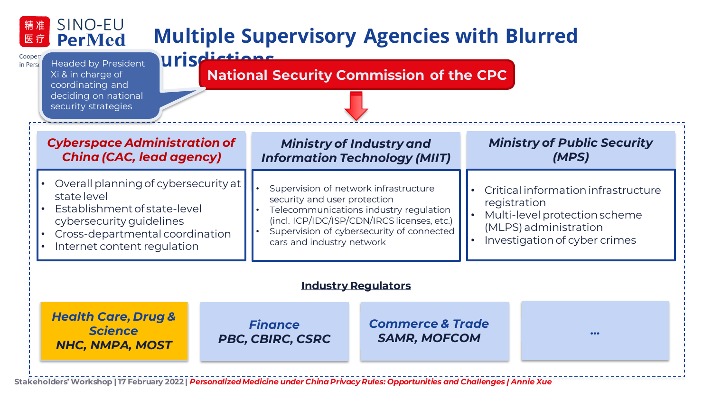#### SINO-EU 精准 **Multiple Supervisory Agencies with Blurred PerMed** 医疗 **Jurisdictions**

Cooper in Perso

Headed by President  $Xi$  & in charge of coordinating and deciding on national security strategies

### **National Security Commission of the CPC**

| <b>Cyberspace Administration of</b><br><b>China (CAC, lead agency)</b>                                                                                                            |  |                                                                                                                                                                                                                                          | <b>Ministry of Industry and</b><br><b>Information Technology (MIIT)</b> |                                                                                                                                                | <b>Ministry of Public Security</b><br>(MPS) |  |  |
|-----------------------------------------------------------------------------------------------------------------------------------------------------------------------------------|--|------------------------------------------------------------------------------------------------------------------------------------------------------------------------------------------------------------------------------------------|-------------------------------------------------------------------------|------------------------------------------------------------------------------------------------------------------------------------------------|---------------------------------------------|--|--|
| Overall planning of cybersecurity at<br>state level<br>Establishment of state-level<br>cybersecurity guidelines<br>Cross-departmental coordination<br>Internet content regulation |  | Supervision of network infrastructure<br>security and user protection<br>Telecommunications industry regulation<br>(incl. ICP/IDC/ISP/CDN/IRCS licenses, etc.)<br>Supervision of cybersecurity of connected<br>cars and industry network |                                                                         | Critical information infrastructure<br>registration<br>Multi-level protection scheme<br>(MLPS) administration<br>Investigation of cyber crimes |                                             |  |  |
| <b>Industry Regulators</b>                                                                                                                                                        |  |                                                                                                                                                                                                                                          |                                                                         |                                                                                                                                                |                                             |  |  |
| <b>Health Care, Drug &amp;</b><br><b>Science</b><br><b>NHC, NMPA, MOST</b>                                                                                                        |  | <b>Finance</b><br><b>PBC, CBIRC, CSRC</b>                                                                                                                                                                                                | <b>Commerce &amp; Trade</b><br><b>SAMR, MOFCOM</b>                      |                                                                                                                                                | • • •                                       |  |  |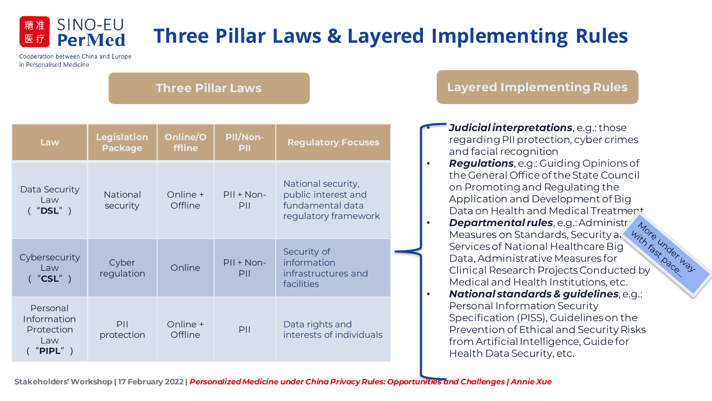# **Three Pillar Laws & Layered Implementing Rules**

Cooperation between China and Europe in Personalised Medicine

精准 医疗

SINO-EU

**PerMed** 

#### **Three Pillar Laws**

| Law                                                         | <b>Legislation</b><br><b>Package</b> | Online/O<br>ffline  | PII/Non-<br>PIL     | <b>Regulatory Focuses</b>                                                             |  |
|-------------------------------------------------------------|--------------------------------------|---------------------|---------------------|---------------------------------------------------------------------------------------|--|
| Data Security<br>Law<br>('''DSL'')                          | <b>National</b><br>security          | Online +<br>Offline | $PII + Non-$<br>PII | National security,<br>public interest and<br>fundamental data<br>regulatory framework |  |
| Cybersecurity<br>Law<br>('''CSL'')                          | Cyber<br>regulation                  | Online              | $PII + Non-$<br>PII | Security of<br>information<br>infrastructures and<br>facilities                       |  |
| Personal<br>Information<br>Protection<br>Law<br>" $PIPL"$ ) | PII<br>protection                    | Online +<br>Offline | PII                 | Data rights and<br>interests of individuals                                           |  |

#### **Layered Implementing Rules**

- *Judicial interpretations*, e.g.: those regarding PII protection, cyber crimes and facial recognition
- *Regulations*, e.g.: Guiding Opinions of the General Office of the State Council on Promoting and Regulating the Application and Development of Big
- Data on Health and Medical Treatment<br> **Departmental rules**, e.g.: Administry 1, the Measures on Standards, Security a, the Measures of National Healthcare Big<br>
Data, Administrative Measures for<br>
Clinical Research Projects **Departmental rules**, e.g.: Administr Measures on Standards, Security and Services of National Healthcare Big Data, Administrative Measures for Clinical Research Projects Conducted by Medical and Health Institutions, etc. • *National standards & guidelines*, e.g.: Personal Information Security Specification (PISS), Guidelines on the Prevention of Ethical and Security Risks from Artificial Intelligence, Guide for

Health Data Security, etc.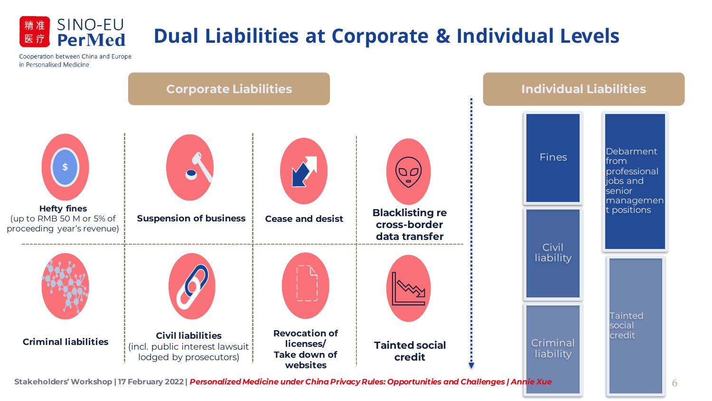

精准

医疗

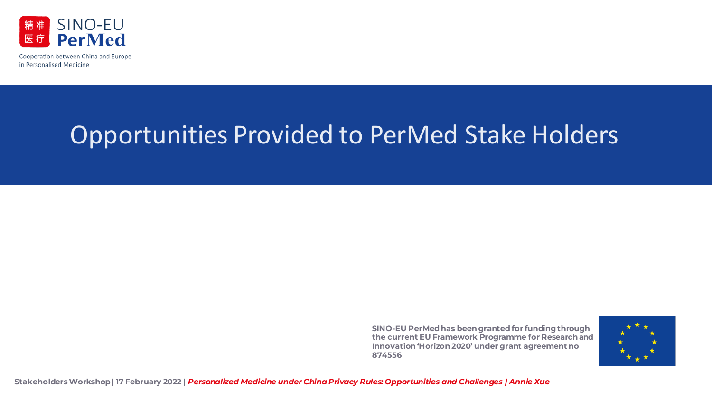

# Opportunities Provided to PerMed Stake Holders

**SINO-EU PerMed has been grantedfor funding through the current EU Framework Programme for Research and Innovation 'Horizon 2020' under grant agreement no 874556**

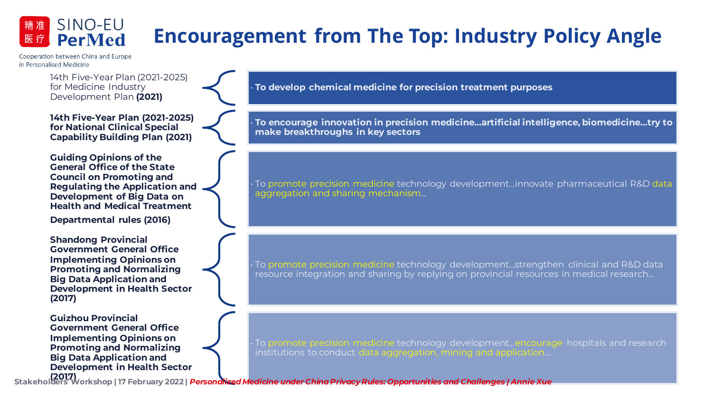#### SINO-EU **Encouragement from The Top: Industry Policy Angle PerMed**

Cooperation between China and Europe in Personalised Medicine

精准 医疗

> 14th Five-Year Plan (2021-2025) for Medicine Industry Development Plan **(2021)**

**14th Five-Year Plan (2021-2025) for National Clinical Special Capability Building Plan (2021)**

**Guiding Opinions of the General Office of the State Council on Promoting and Regulating the Application and Development of Big Data on Health and Medical Treatment**

**Departmental rules (2016)**

**Shandong Provincial Government General Office Implementing Opinions on Promoting and Normalizing Big Data Application and Development in Health Sector (2017)**

**Guizhou Provincial Government General Office Implementing Opinions on Promoting and Normalizing Big Data Application and Development in Health Sector**  • **To develop chemical medicine for precision treatment purposes**

• **To encourage innovation in precision medicine…artificial intelligence, biomedicine…try to make breakthroughs in key sectors**

• To promote precision medicine technology development…innovate pharmaceutical R&D data aggregation and sharing mechanism...

• To promote precision medicine technology development…strengthen clinical and R&D data resource integration and sharing by replying on provincial resources in medical research…

• To promote precision medicine technology development…encourage hospitals and research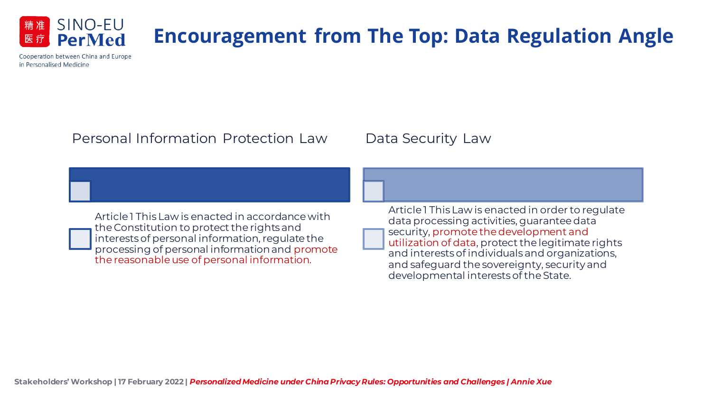

## **Encouragement from The Top: Data Regulation Angle**

Cooperation between China and Europe in Personalised Medicine

### Personal Information Protection Law

### Data Security Law

Article 1 This Law is enacted in accordance with the Constitution to protect the rights and interests of personal information, regulate the processing of personal information and promote the reasonable use of personal information.

Article 1 This Law is enacted in order to regulate data processing activities, guarantee data security, promote the development and utilization of data, protect the legitimate rights and interests of individuals and organizations, and safeguard the sovereignty, security and developmental interests of the State.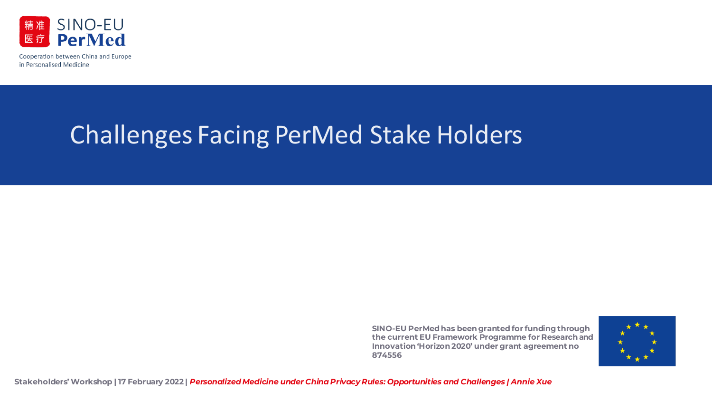

# Challenges Facing PerMed Stake Holders

**SINO-EU PerMed has been grantedfor funding through the current EU Framework Programme for Research and Innovation 'Horizon 2020' under grant agreement no 874556**

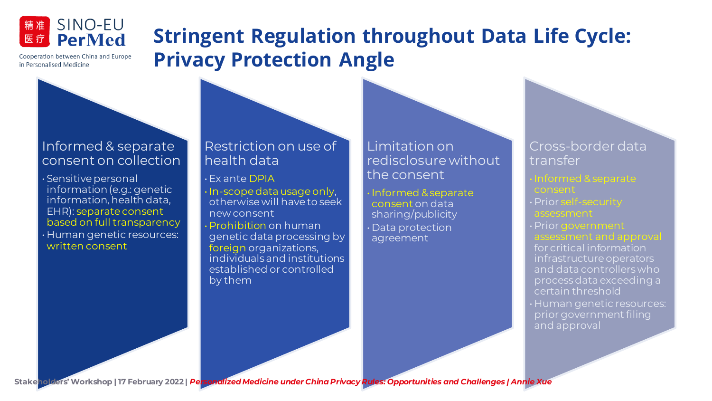

Cooperation between China and Europe

in Personalised Medicine

## **Stringent Regulation throughout Data Life Cycle: Privacy Protection Angle**

### Informed & separate consent on collection

• Sensitive personal information (e.g.: genetic information, health data, EHR): separate consent based on full transparency • Human genetic resources: written consent

#### Restriction on use of health data

• Ex ante DPIA • In-scope data usage only, otherwise will have to seek new consent • Prohibition on human

genetic data processing by foreign organizations, individuals and institutions established or controlled by them

Limitation on redisclosure without the consent

• Informed & separate consent on data sharing/publicity • Data protection agreement

#### Cross-border data transfer

• Informed & separate

- 
- 

for critical information infrastructure operators and data controllers who process data exceeding a certain threshold

• Human genetic resources: prior government filing and approval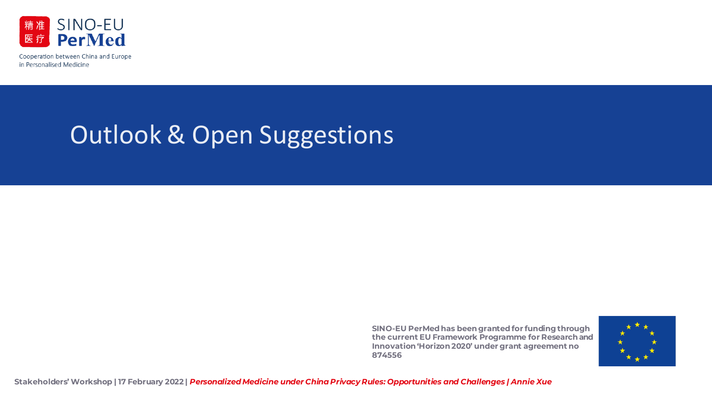

# Outlook & Open Suggestions

**SINO-EU PerMed has been grantedfor funding through the current EU Framework Programme for Research and Innovation 'Horizon 2020' under grant agreement no 874556**

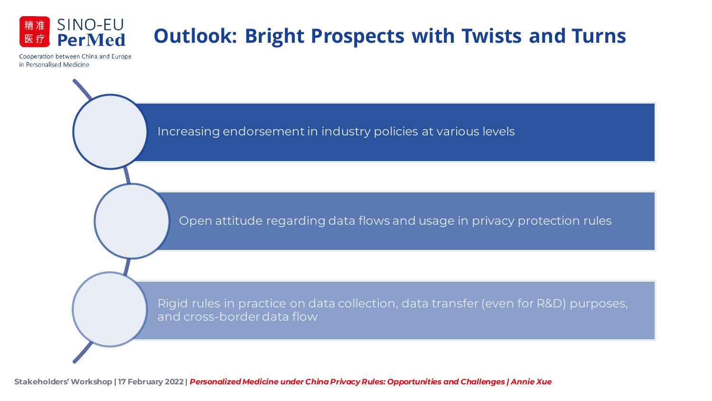

> Increasing endorsement in industry policies at various levels Open attitude regarding data flows and usage in privacy protection rules Rigid rules in practice on data collection, data transfer (even for R&D) purposes, and cross-border data flow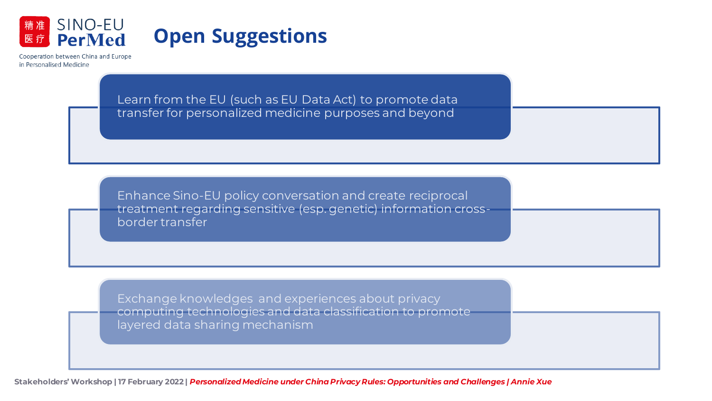

## **Open Suggestions**

Cooperation between China and Europe in Personalised Medicine

> Learn from the EU (such as EU Data Act) to promote data transfer for personalized medicine purposes and beyond

Enhance Sino-EU policy conversation and create reciprocal treatment regarding sensitive (esp. genetic) information crossborder transfer

Exchange knowledges and experiences about privacy computing technologies and data classification to promote layered data sharing mechanism